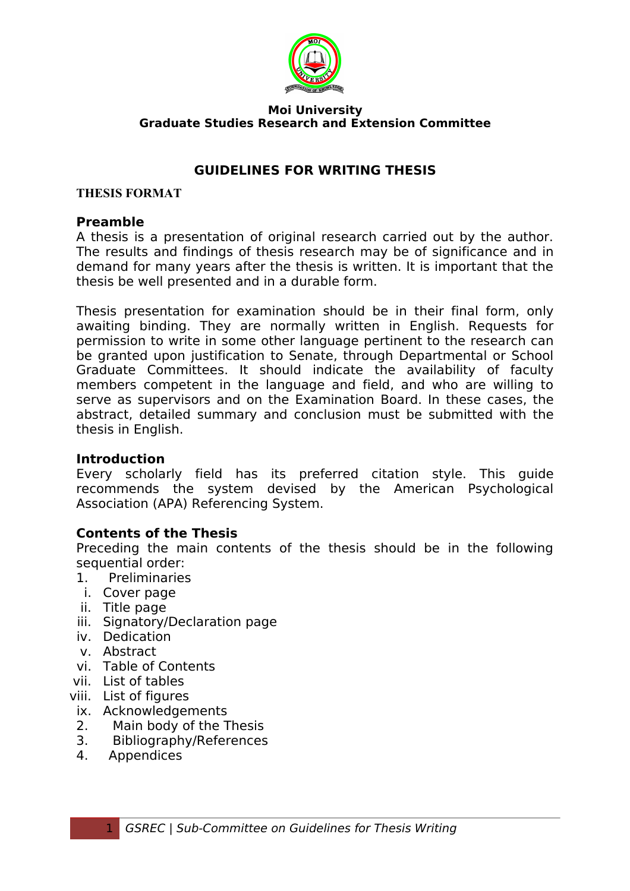

#### **Moi University Graduate Studies Research and Extension Committee**

#### **GUIDELINES FOR WRITING THESIS**

#### **THESIS FORMAT**

#### **Preamble**

A thesis is a presentation of original research carried out by the author. The results and findings of thesis research may be of significance and in demand for many years after the thesis is written. It is important that the thesis be well presented and in a durable form.

Thesis presentation for examination should be in their final form, only awaiting binding. They are normally written in English. Requests for permission to write in some other language pertinent to the research can be granted upon justification to Senate, through Departmental or School Graduate Committees. It should indicate the availability of faculty members competent in the language and field, and who are willing to serve as supervisors and on the Examination Board. In these cases, the abstract, detailed summary and conclusion must be submitted with the thesis in English.

#### **Introduction**

Every scholarly field has its preferred citation style. This guide recommends the system devised by the American Psychological Association (APA) Referencing System.

#### **Contents of the Thesis**

Preceding the main contents of the thesis should be in the following sequential order:

- 1. Preliminaries
- i. Cover page
- ii. Title page
- iii. Signatory/Declaration page
- iv. Dedication
- v. Abstract
- vi. Table of Contents
- vii. List of tables
- viii. List of figures
- ix. Acknowledgements
- 2. Main body of the Thesis
- 3. Bibliography/References
- 4. Appendices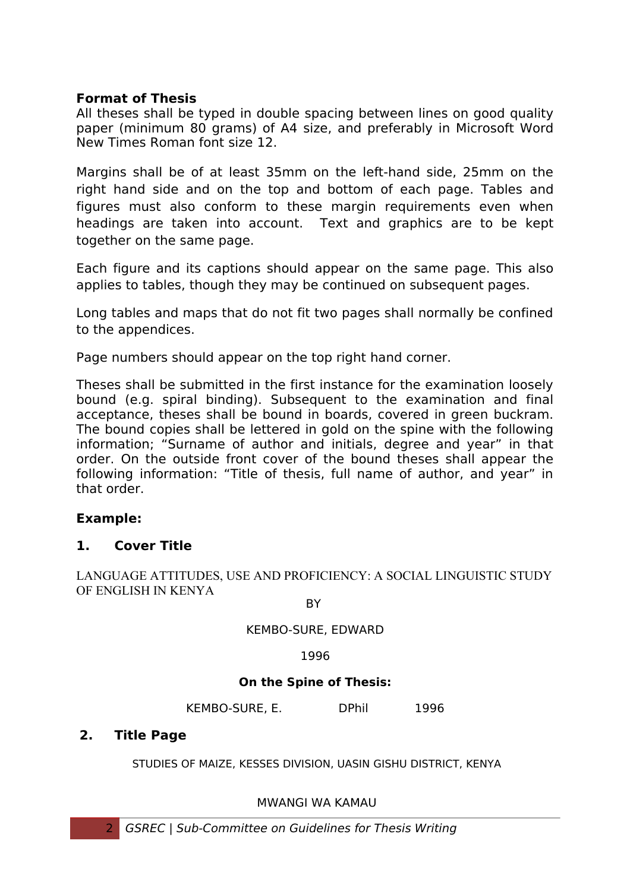#### **Format of Thesis**

All theses shall be typed in double spacing between lines on good quality paper (minimum 80 grams) of A4 size, and preferably in Microsoft Word New Times Roman font size 12.

Margins shall be of at least 35mm on the left-hand side, 25mm on the right hand side and on the top and bottom of each page. Tables and figures must also conform to these margin requirements even when headings are taken into account. Text and graphics are to be kept together on the same page.

Each figure and its captions should appear on the same page. This also applies to tables, though they may be continued on subsequent pages.

Long tables and maps that do not fit two pages shall normally be confined to the appendices.

Page numbers should appear on the top right hand corner.

Theses shall be submitted in the first instance for the examination loosely bound (e.g. spiral binding). Subsequent to the examination and final acceptance, theses shall be bound in boards, covered in green buckram. The bound copies shall be lettered in gold on the spine with the following information; "Surname of author and initials, degree and year" in that order. On the outside front cover of the bound theses shall appear the following information: "Title of thesis, full name of author, and year" in that order.

#### **Example:**

#### **1. Cover Title**

LANGUAGE ATTITUDES, USE AND PROFICIENCY: A SOCIAL LINGUISTIC STUDY OF ENGLISH IN KENYA

**BY** 

KEMBO-SURE, EDWARD

1996

#### **On the Spine of Thesis:**

KEMBO-SURE, E. DPhil 1996

#### **2. Title Page**

STUDIES OF MAIZE, KESSES DIVISION, UASIN GISHU DISTRICT, KENYA

MWANGI WA KAMAU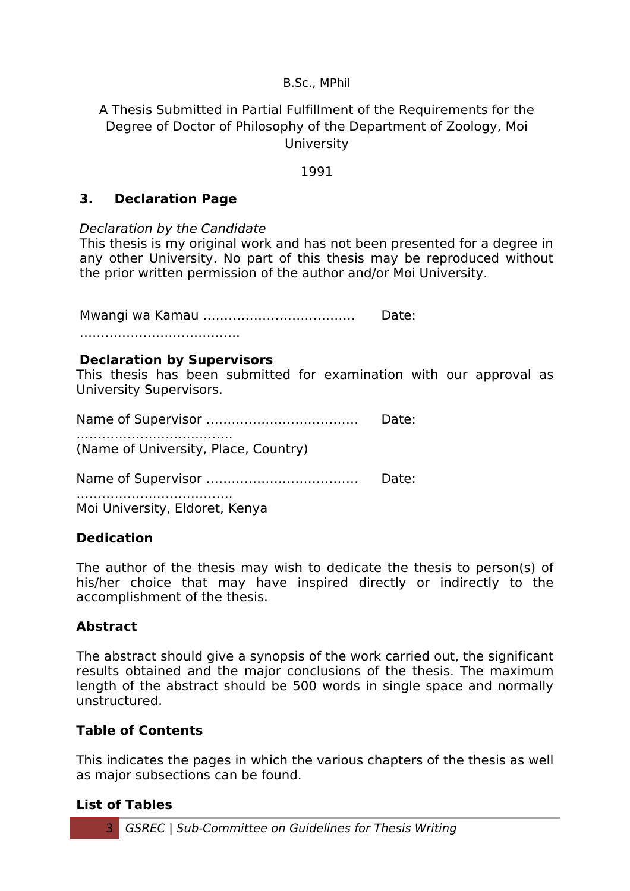#### B.Sc., MPhil

A Thesis Submitted in Partial Fulfillment of the Requirements for the Degree of Doctor of Philosophy of the Department of Zoology, Moi **University** 

#### 1991

#### **3. Declaration Page**

Declaration by the Candidate

This thesis is my original work and has not been presented for a degree in any other University. No part of this thesis may be reproduced without the prior written permission of the author and/or Moi University.

Mwangi wa Kamau ……………………………… Date:

#### **Declaration by Supervisors**

This thesis has been submitted for examination with our approval as University Supervisors.

Name of Supervisor ……………………………… Date: ………………………………………… (Name of University, Place, Country)

Name of Supervisor ……………………………… Date:

…………………………………… Moi University, Eldoret, Kenya

### **Dedication**

The author of the thesis may wish to dedicate the thesis to person(s) of his/her choice that may have inspired directly or indirectly to the accomplishment of the thesis.

#### **Abstract**

The abstract should give a synopsis of the work carried out, the significant results obtained and the major conclusions of the thesis. The maximum length of the abstract should be 500 words in single space and normally unstructured.

#### **Table of Contents**

This indicates the pages in which the various chapters of the thesis as well as major subsections can be found.

#### **List of Tables**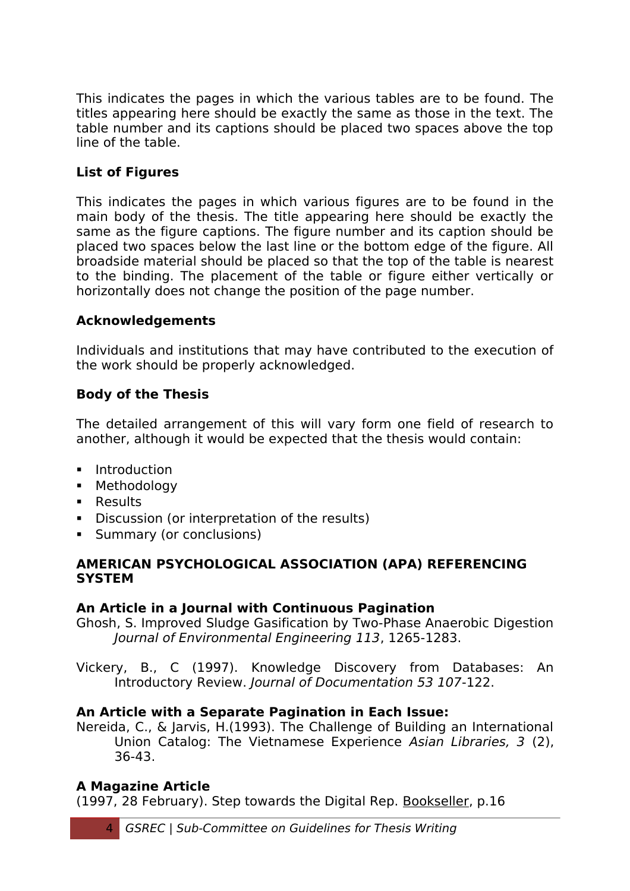This indicates the pages in which the various tables are to be found. The titles appearing here should be exactly the same as those in the text. The table number and its captions should be placed two spaces above the top line of the table.

## **List of Figures**

This indicates the pages in which various figures are to be found in the main body of the thesis. The title appearing here should be exactly the same as the figure captions. The figure number and its caption should be placed two spaces below the last line or the bottom edge of the figure. All broadside material should be placed so that the top of the table is nearest to the binding. The placement of the table or figure either vertically or horizontally does not change the position of the page number.

### **Acknowledgements**

Individuals and institutions that may have contributed to the execution of the work should be properly acknowledged.

### **Body of the Thesis**

The detailed arrangement of this will vary form one field of research to another, although it would be expected that the thesis would contain:

- **Introduction**
- **Methodology**
- **Results**
- Discussion (or interpretation of the results)
- **Summary (or conclusions)**

#### **AMERICAN PSYCHOLOGICAL ASSOCIATION (APA) REFERENCING SYSTEM**

### **An Article in a Journal with Continuous Pagination**

Ghosh, S. Improved Sludge Gasification by Two-Phase Anaerobic Digestion Journal of Environmental Engineering 113, 1265-1283.

Vickery, B., C (1997). Knowledge Discovery from Databases: An Introductory Review. Journal of Documentation 53 107-122.

### **An Article with a Separate Pagination in Each Issue:**

Nereida, C., & Jarvis, H.(1993). The Challenge of Building an International Union Catalog: The Vietnamese Experience Asian Libraries, 3 (2), 36-43.

### **A Magazine Article**

(1997, 28 February). Step towards the Digital Rep. Bookseller, p.16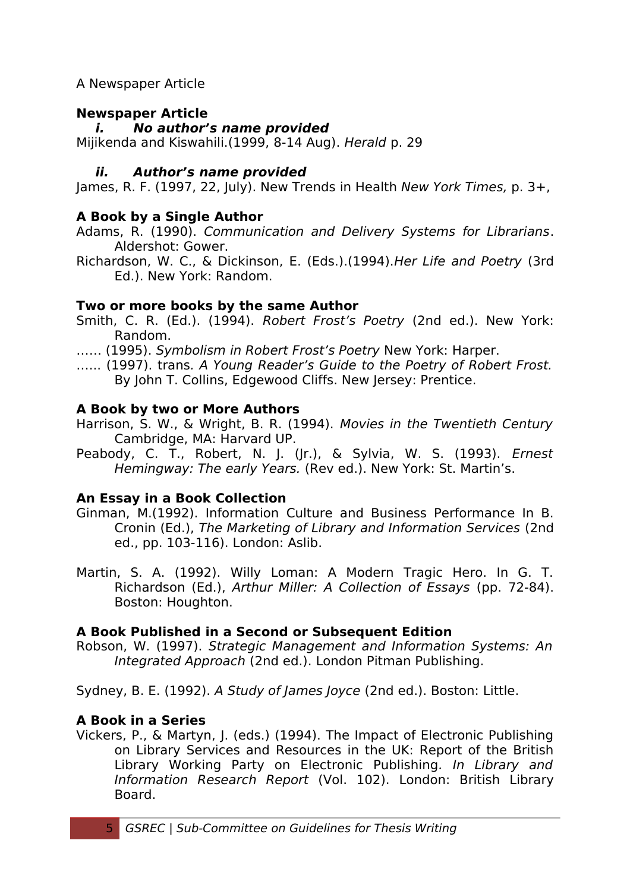### A Newspaper Article

## **Newspaper Article**

### **i. No author's name provided**

Mijikenda and Kiswahili.(1999, 8-14 Aug). Herald p. 29

## **ii. Author's name provided**

James, R. F. (1997, 22, July). New Trends in Health New York Times, p. 3+,

## **A Book by a Single Author**

- Adams, R. (1990). Communication and Delivery Systems for Librarians. Aldershot: Gower.
- Richardson, W. C., & Dickinson, E. (Eds.).(1994).Her Life and Poetry (3rd Ed.). New York: Random.

## **Two or more books by the same Author**

- Smith, C. R. (Ed.). (1994). Robert Frost's Poetry (2nd ed.). New York: Random.
- …… (1995). Symbolism in Robert Frost's Poetry New York: Harper.
- …... (1997). trans. A Young Reader's Guide to the Poetry of Robert Frost. By John T. Collins, Edgewood Cliffs. New Jersey: Prentice.

## **A Book by two or More Authors**

- Harrison, S. W., & Wright, B. R. (1994). Movies in the Twentieth Century Cambridge, MA: Harvard UP.
- Peabody, C. T., Robert, N. J. (Jr.), & Sylvia, W. S. (1993). Ernest Hemingway: The early Years. (Rev ed.). New York: St. Martin's.

## **An Essay in a Book Collection**

- Ginman, M.(1992). Information Culture and Business Performance In B. Cronin (Ed.), The Marketing of Library and Information Services (2nd ed., pp. 103-116). London: Aslib.
- Martin, S. A. (1992). Willy Loman: A Modern Tragic Hero. In G. T. Richardson (Ed.), Arthur Miller: A Collection of Essays (pp. 72-84). Boston: Houghton.

## **A Book Published in a Second or Subsequent Edition**

Robson, W. (1997). Strategic Management and Information Systems: An Integrated Approach (2nd ed.). London Pitman Publishing.

Sydney, B. E. (1992). A Study of James Joyce (2nd ed.). Boston: Little.

## **A Book in a Series**

Vickers, P., & Martyn, J. (eds.) (1994). The Impact of Electronic Publishing on Library Services and Resources in the UK: Report of the British Library Working Party on Electronic Publishing. In Library and Information Research Report (Vol. 102). London: British Library Board.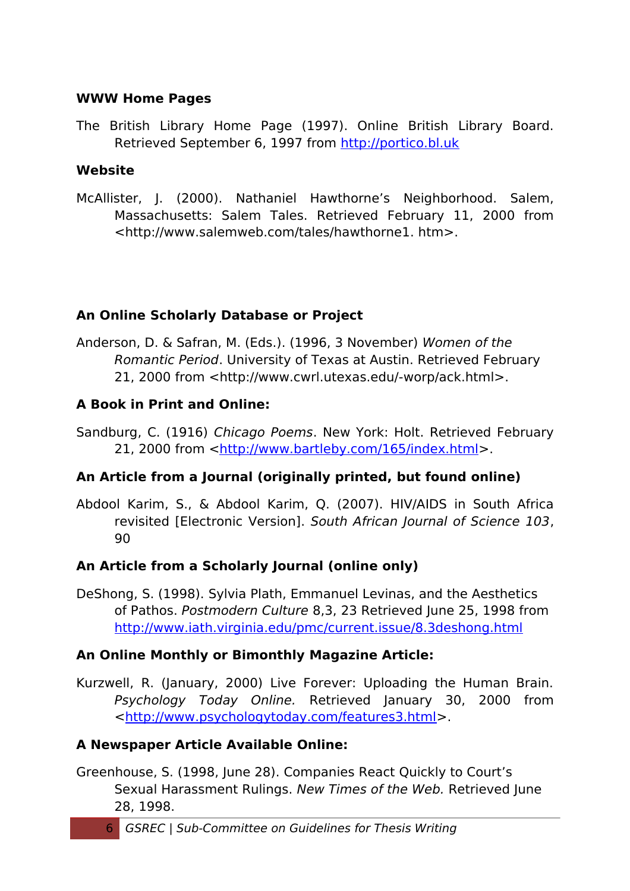#### **WWW Home Pages**

The British Library Home Page (1997). Online British Library Board. Retrieved September 6, 1997 from [http://portico.bl.uk](http://portico.bl.uk/)

### **Website**

McAllister, J. (2000). Nathaniel Hawthorne's Neighborhood. Salem, Massachusetts: Salem Tales. Retrieved February 11, 2000 from <http://www.salemweb.com/tales/hawthorne1. htm>.

## **An Online Scholarly Database or Project**

Anderson, D. & Safran, M. (Eds.). (1996, 3 November) Women of the Romantic Period. University of Texas at Austin. Retrieved February 21, 2000 from <http://www.cwrl.utexas.edu/-worp/ack.html>.

## **A Book in Print and Online:**

Sandburg, C. (1916) Chicago Poems. New York: Holt. Retrieved February 21, 2000 from [<http://www.bartleby.com/165/index.html>](http://www.bartleby.com/165/index.html).

## **An Article from a Journal (originally printed, but found online)**

Abdool Karim, S., & Abdool Karim, Q. (2007). HIV/AIDS in South Africa revisited [Electronic Version]. South African Journal of Science 103, 90

## **An Article from a Scholarly Journal (online only)**

DeShong, S. (1998). Sylvia Plath, Emmanuel Levinas, and the Aesthetics of Pathos. Postmodern Culture 8,3, 23 Retrieved June 25, 1998 from <http://www.iath.virginia.edu/pmc/current.issue/8.3deshong.html>

### **An Online Monthly or Bimonthly Magazine Article:**

Kurzwell, R. (January, 2000) Live Forever: Uploading the Human Brain. Psychology Today Online. Retrieved January 30, 2000 from [<http://www.psychologytoday.com/features3.html>](http://www.psychologytoday.com/features3.html).

### **A Newspaper Article Available Online:**

Greenhouse, S. (1998, June 28). Companies React Quickly to Court's Sexual Harassment Rulings. New Times of the Web. Retrieved June 28, 1998.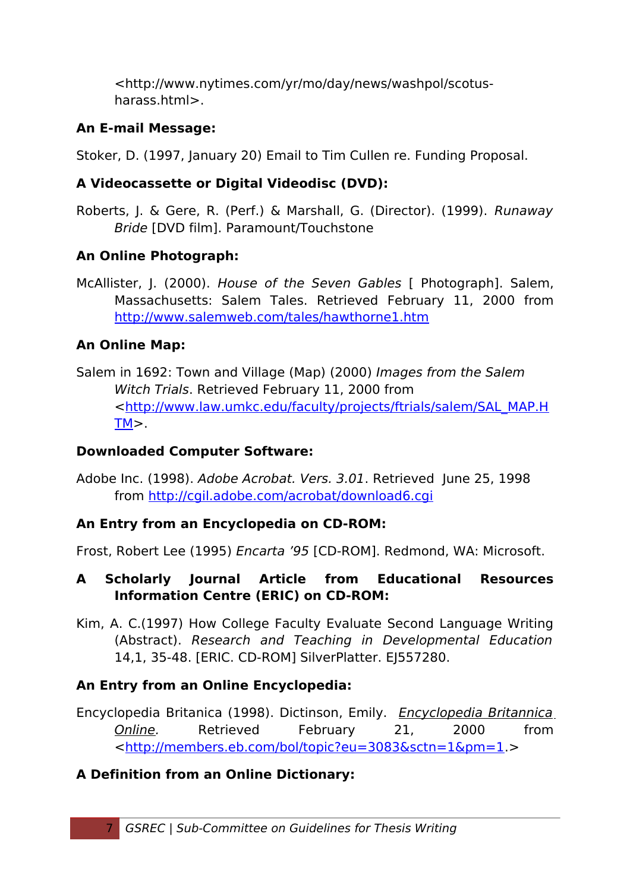<http://www.nytimes.com/yr/mo/day/news/washpol/scotusharass.html>.

## **An E-mail Message:**

Stoker, D. (1997, January 20) Email to Tim Cullen re. Funding Proposal.

## **A Videocassette or Digital Videodisc (DVD):**

Roberts, J. & Gere, R. (Perf.) & Marshall, G. (Director). (1999). Runaway Bride [DVD film]. Paramount/Touchstone

## **An Online Photograph:**

McAllister, J. (2000). House of the Seven Gables [ Photograph]. Salem, Massachusetts: Salem Tales. Retrieved February 11, 2000 from <http://www.salemweb.com/tales/hawthorne1.htm>

# **An Online Map:**

Salem in 1692: Town and Village (Map) (2000) Images from the Salem Witch Trials. Retrieved February 11, 2000 from [<http://www.law.umkc.edu/faculty/projects/ftrials/salem/SAL\\_MAP.H](http://www.law.umkc.edu/faculty/projects/ftrials/salem/SAL_MAP.HTM)  $TM$ 

## **Downloaded Computer Software:**

Adobe Inc. (1998). Adobe Acrobat. Vers. 3.01. Retrieved June 25, 1998 from<http://cgil.adobe.com/acrobat/download6.cgi>

# **An Entry from an Encyclopedia on CD-ROM:**

Frost, Robert Lee (1995) Encarta '95 [CD-ROM]. Redmond, WA: Microsoft.

## **A Scholarly Journal Article from Educational Resources Information Centre (ERIC) on CD-ROM:**

Kim, A. C.(1997) How College Faculty Evaluate Second Language Writing (Abstract). Research and Teaching in Developmental Education 14,1, 35-48. [ERIC. CD-ROM] SilverPlatter. EJ557280.

# **An Entry from an Online Encyclopedia:**

Encyclopedia Britanica (1998). Dictinson, Emily. Encyclopedia Britannica Online. Retrieved February 21, 2000 from [<http://members.eb.com/bol/topic?eu=3083&sctn=1&pm=1.](http://members.eb.com/bol/topic?eu=3083&sctn=1&pm=1)>

# **A Definition from an Online Dictionary:**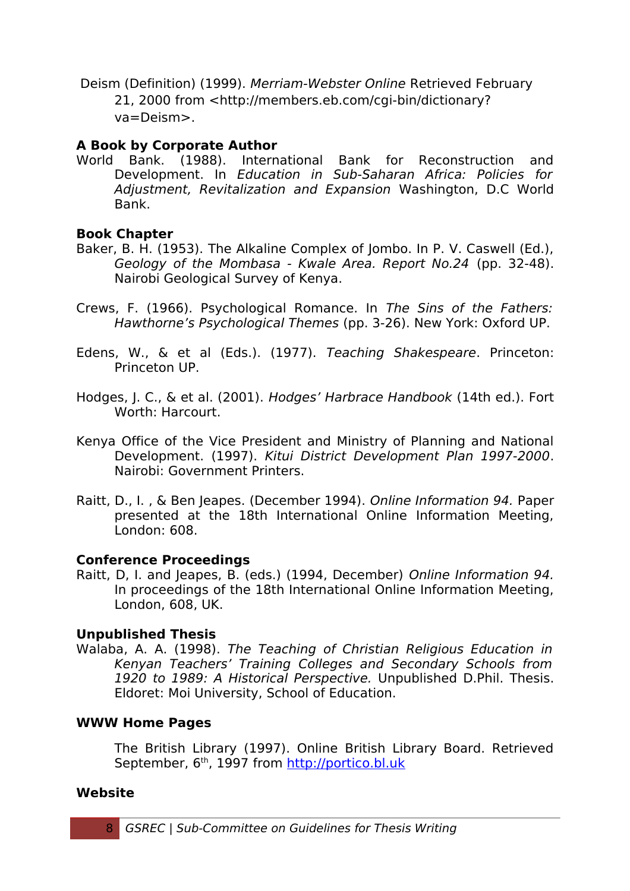Deism (Definition) (1999). Merriam-Webster Online Retrieved February 21, 2000 from <http://members.eb.com/cgi-bin/dictionary? va=Deism>.

## **A Book by Corporate Author**

World Bank. (1988). International Bank for Reconstruction and Development. In Education in Sub-Saharan Africa: Policies for Adjustment, Revitalization and Expansion Washington, D.C World Bank.

## **Book Chapter**

- Baker, B. H. (1953). The Alkaline Complex of Jombo. In P. V. Caswell (Ed.), Geology of the Mombasa - Kwale Area. Report No.24 (pp. 32-48). Nairobi Geological Survey of Kenya.
- Crews, F. (1966). Psychological Romance. In The Sins of the Fathers: Hawthorne's Psychological Themes (pp. 3-26). New York: Oxford UP.
- Edens, W., & et al (Eds.). (1977). Teaching Shakespeare. Princeton: Princeton UP.
- Hodges, J. C., & et al. (2001). Hodges' Harbrace Handbook (14th ed.). Fort Worth: Harcourt.
- Kenya Office of the Vice President and Ministry of Planning and National Development. (1997). Kitui District Development Plan 1997-2000. Nairobi: Government Printers.
- Raitt, D., I. , & Ben Jeapes. (December 1994). Online Information 94. Paper presented at the 18th International Online Information Meeting, London: 608.

### **Conference Proceedings**

Raitt, D, I. and Jeapes, B. (eds.) (1994, December) Online Information 94. In proceedings of the 18th International Online Information Meeting, London, 608, UK.

## **Unpublished Thesis**

Walaba, A. A. (1998). The Teaching of Christian Religious Education in Kenyan Teachers' Training Colleges and Secondary Schools from 1920 to 1989: A Historical Perspective. Unpublished D.Phil. Thesis. Eldoret: Moi University, School of Education.

## **WWW Home Pages**

The British Library (1997). Online British Library Board. Retrieved September, 6<sup>th</sup>, 1997 from [http://portico.bl.uk](http://portico.bl.uk/)

### **Website**